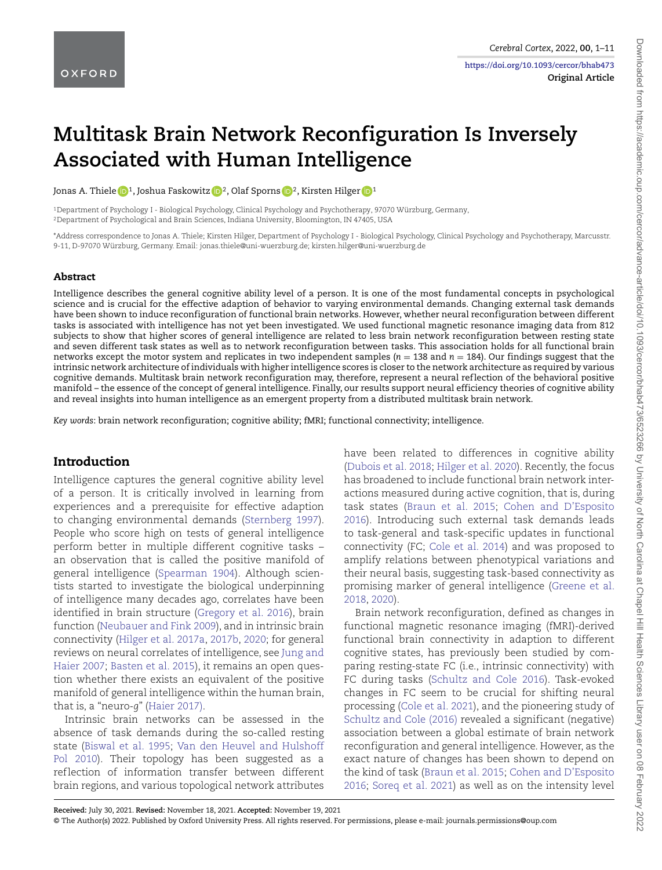**https://doi.org/10.1093/cercor/bhab473 Original Article**

# **Multitask Brain Network Reconfiguration Is Inversely Associated with Human Intelligence**

Jonas A. Thiele **1**, Joshua Faskowitz **1**<sup>2</sup>, Olaf Sporns **1**<sup>2</sup>, Kirsten Hilger **1**<sup>1</sup>

<sup>1</sup>Department of Psychology I - Biological Psychology, Clinical Psychology and Psychotherapy, 97070 Würzburg, Germany, <sup>2</sup>Department of Psychological and Brain Sciences, Indiana University, Bloomington, IN 47405, USA

\*Address correspondence to Jonas A. Thiele; Kirsten Hilger, Department of Psychology I - Biological Psychology, Clinical Psychology and Psychotherapy, Marcusstr. 9-11, D-97070 Würzburg, Germany. Email: jonas.thiele@uni-wuerzburg.de; kirsten.hilger@uni-wuerzburg.de

#### Abstract

Intelligence describes the general cognitive ability level of a person. It is one of the most fundamental concepts in psychological science and is crucial for the effective adaption of behavior to varying environmental demands. Changing external task demands have been shown to induce reconfiguration of functional brain networks. However, whether neural reconfiguration between different tasks is associated with intelligence has not yet been investigated. We used functional magnetic resonance imaging data from 812 subjects to show that higher scores of general intelligence are related to less brain network reconfiguration between resting state and seven different task states as well as to network reconfiguration between tasks. This association holds for all functional brain networks except the motor system and replicates in two independent samples (*n* = 138 and *n* = 184). Our findings suggest that the intrinsic network architecture of individuals with higher intelligence scores is closer to the network architecture as required by various cognitive demands. Multitask brain network reconfiguration may, therefore, represent a neural ref lection of the behavioral positive manifold – the essence of the concept of general intelligence. Finally, our results support neural efficiency theories of cognitive ability and reveal insights into human intelligence as an emergent property from a distributed multitask brain network.

*Key words*: brain network reconfiguration; cognitive ability; fMRI; functional connectivity; intelligence.

#### Introduction

Intelligence captures the general cognitive ability level of a person. It is critically involved in learning from experiences and a prerequisite for effective adaption to changing environmental demands (Sternberg 1997). People who score high on tests of general intelligence perform better in multiple different cognitive tasks – an observation that is called the positive manifold of general intelligence (Spearman 1904). Although scientists started to investigate the biological underpinning of intelligence many decades ago, correlates have been identified in brain structure (Gregory et al. 2016), brain function (Neubauer and Fink 2009), and in intrinsic brain connectivity (Hilger et al. 2017a, 2017b, 2020; for general reviews on neural correlates of intelligence, see Jung and Haier 2007; Basten et al. 2015), it remains an open question whether there exists an equivalent of the positive manifold of general intelligence within the human brain, that is, a "neuro-*g*" (Haier 2017).

Intrinsic brain networks can be assessed in the absence of task demands during the so-called resting state (Biswal et al. 1995; Van den Heuvel and Hulshoff Pol 2010). Their topology has been suggested as a reflection of information transfer between different brain regions, and various topological network attributes

have been related to differences in cognitive ability (Dubois et al. 2018; Hilger et al. 2020). Recently, the focus has broadened to include functional brain network interactions measured during active cognition, that is, during task states (Braun et al. 2015; Cohen and D'Esposito 2016). Introducing such external task demands leads to task-general and task-specific updates in functional connectivity (FC; Cole et al. 2014) and was proposed to amplify relations between phenotypical variations and their neural basis, suggesting task-based connectivity as promising marker of general intelligence (Greene et al. 2018, 2020).

Brain network reconfiguration, defined as changes in functional magnetic resonance imaging (fMRI)-derived functional brain connectivity in adaption to different cognitive states, has previously been studied by comparing resting-state FC (i.e., intrinsic connectivity) with FC during tasks (Schultz and Cole 2016). Task-evoked changes in FC seem to be crucial for shifting neural processing (Cole et al. 2021), and the pioneering study of Schultz and Cole (2016) revealed a significant (negative) association between a global estimate of brain network reconfiguration and general intelligence. However, as the exact nature of changes has been shown to depend on the kind of task (Braun et al. 2015; Cohen and D'Esposito 2016; Soreq et al. 2021) as well as on the intensity level

Downloaded from https://academic.oup.com/cercor/advance-artide/doi/10.1093/cercor/bhab473/6523266 by University of North Carolina at Chapel Hill Health Sciences Library user on 08 February 2022 Downloaded from https://academic.oup.com/cercor/advance-article/doi/10.1093/cercor/bhab473/6523266 by University of North Carolina at Chapel Hill Health Sciences Library user on 08 February 2022

**Received:** July 30, 2021. **Revised:** November 18, 2021. **Accepted:** November 19, 2021

<sup>©</sup> The Author(s) 2022. Published by Oxford University Press. All rights reserved. For permissions, please e-mail: journals.permissions@oup.com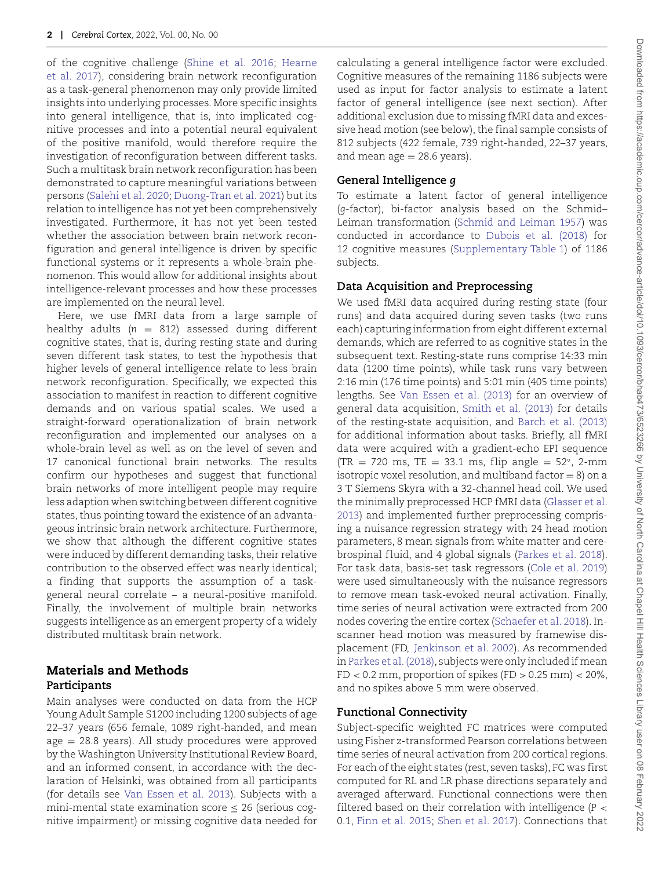of the cognitive challenge (Shine et al. 2016; Hearne et al. 2017), considering brain network reconfiguration as a task-general phenomenon may only provide limited insights into underlying processes. More specific insights into general intelligence, that is, into implicated cognitive processes and into a potential neural equivalent of the positive manifold, would therefore require the investigation of reconfiguration between different tasks. Such a multitask brain network reconfiguration has been demonstrated to capture meaningful variations between persons (Salehi et al. 2020; Duong-Tran et al. 2021) but its relation to intelligence has not yet been comprehensively investigated. Furthermore, it has not yet been tested whether the association between brain network reconfiguration and general intelligence is driven by specific functional systems or it represents a whole-brain phenomenon. This would allow for additional insights about intelligence-relevant processes and how these processes are implemented on the neural level.

Here, we use fMRI data from a large sample of healthy adults  $(n = 812)$  assessed during different cognitive states, that is, during resting state and during seven different task states, to test the hypothesis that higher levels of general intelligence relate to less brain network reconfiguration. Specifically, we expected this association to manifest in reaction to different cognitive demands and on various spatial scales. We used a straight-forward operationalization of brain network reconfiguration and implemented our analyses on a whole-brain level as well as on the level of seven and 17 canonical functional brain networks. The results confirm our hypotheses and suggest that functional brain networks of more intelligent people may require less adaption when switching between different cognitive states, thus pointing toward the existence of an advantageous intrinsic brain network architecture. Furthermore, we show that although the different cognitive states were induced by different demanding tasks, their relative contribution to the observed effect was nearly identical; a finding that supports the assumption of a taskgeneral neural correlate – a neural-positive manifold. Finally, the involvement of multiple brain networks suggests intelligence as an emergent property of a widely distributed multitask brain network.

## Materials and Methods **Participants**

Main analyses were conducted on data from the HCP Young Adult Sample S1200 including 1200 subjects of age 22–37 years (656 female, 1089 right-handed, and mean age = 28.8 years). All study procedures were approved by the Washington University Institutional Review Board, and an informed consent, in accordance with the declaration of Helsinki, was obtained from all participants (for details see Van Essen et al. 2013). Subjects with a mini-mental state examination score  $\leq$  26 (serious cognitive impairment) or missing cognitive data needed for

calculating a general intelligence factor were excluded. Cognitive measures of the remaining 1186 subjects were used as input for factor analysis to estimate a latent factor of general intelligence (see next section). After additional exclusion due to missing fMRI data and excessive head motion (see below), the final sample consists of 812 subjects (422 female, 739 right-handed, 22–37 years, and mean  $age = 28.6 \text{ years}$ ).

## **General Intelligence** *g*

To estimate a latent factor of general intelligence (*g*-factor), bi-factor analysis based on the Schmid– Leiman transformation (Schmid and Leiman 1957) was conducted in accordance to Dubois et al. (2018) for 12 cognitive measures (Supplementary Table 1) of 1186 subjects.

#### **Data Acquisition and Preprocessing**

We used fMRI data acquired during resting state (four runs) and data acquired during seven tasks (two runs each) capturing information from eight different external demands, which are referred to as cognitive states in the subsequent text. Resting-state runs comprise 14:33 min data (1200 time points), while task runs vary between 2:16 min (176 time points) and 5:01 min (405 time points) lengths. See Van Essen et al. (2013) for an overview of general data acquisition, Smith et al. (2013) for details of the resting-state acquisition, and Barch et al. (2013) for additional information about tasks. Briefly, all fMRI data were acquired with a gradient-echo EPI sequence  $(TR = 720 \text{ ms}, TE = 33.1 \text{ ms}, flip angle = 52°, 2-mm$ isotropic voxel resolution, and multiband factor  $= 8$ ) on a 3 T Siemens Skyra with a 32-channel head coil. We used the minimally preprocessed HCP fMRI data (Glasser et al. 2013) and implemented further preprocessing comprising a nuisance regression strategy with 24 head motion parameters, 8 mean signals from white matter and cerebrospinal fluid, and 4 global signals (Parkes et al. 2018). For task data, basis-set task regressors (Cole et al. 2019) were used simultaneously with the nuisance regressors to remove mean task-evoked neural activation. Finally, time series of neural activation were extracted from 200 nodes covering the entire cortex (Schaefer et al. 2018). Inscanner head motion was measured by framewise displacement (FD, Jenkinson et al. 2002). As recommended in Parkes et al. (2018), subjects were only included if mean  $FD < 0.2$  mm, proportion of spikes  $(FD > 0.25$  mm $) < 20\%$ , and no spikes above 5 mm were observed.

#### **Functional Connectivity**

Subject-specific weighted FC matrices were computed using Fisher z-transformed Pearson correlations between time series of neural activation from 200 cortical regions. For each of the eight states (rest, seven tasks), FC was first computed for RL and LR phase directions separately and averaged afterward. Functional connections were then filtered based on their correlation with intelligence (*P* < 0.1, Finn et al. 2015; Shen et al. 2017). Connections that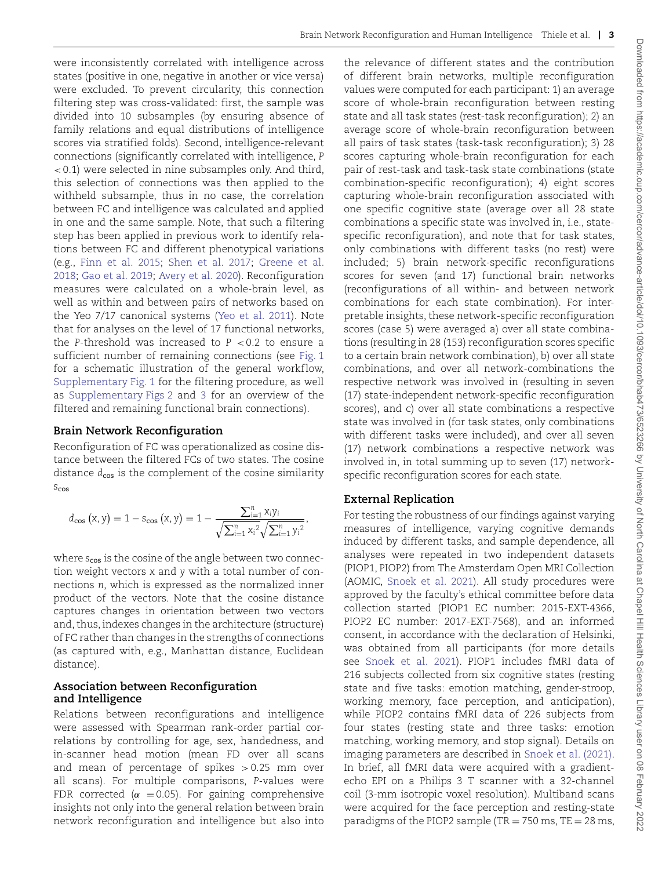were inconsistently correlated with intelligence across states (positive in one, negative in another or vice versa) were excluded. To prevent circularity, this connection filtering step was cross-validated: first, the sample was divided into 10 subsamples (by ensuring absence of family relations and equal distributions of intelligence scores via stratified folds). Second, intelligence-relevant connections (significantly correlated with intelligence, *P* < 0.1) were selected in nine subsamples only. And third, this selection of connections was then applied to the withheld subsample, thus in no case, the correlation between FC and intelligence was calculated and applied in one and the same sample. Note, that such a filtering step has been applied in previous work to identify relations between FC and different phenotypical variations (e.g., Finn et al. 2015; Shen et al. 2017; Greene et al. 2018; Gao et al. 2019; Avery et al. 2020). Reconfiguration measures were calculated on a whole-brain level, as well as within and between pairs of networks based on the Yeo 7/17 canonical systems (Yeo et al. 2011). Note that for analyses on the level of 17 functional networks, the *P*-threshold was increased to *P* < 0.2 to ensure a sufficient number of remaining connections (see Fig. 1 for a schematic illustration of the general workflow, Supplementary Fig. 1 for the filtering procedure, as well as Supplementary Figs 2 and 3 for an overview of the filtered and remaining functional brain connections).

#### **Brain Network Reconfiguration**

Reconfiguration of FC was operationalized as cosine distance between the filtered FCs of two states. The cosine distance  $d_{\cos}$  is the complement of the cosine similarity *s*cos

$$
d_{\text{cos}}\left(x,y\right)=1-s_{\text{cos}}\left(x,y\right)=1-\frac{\sum_{i=1}^{n}x_{i}y_{i}}{\sqrt{\sum_{i=1}^{n}x_{i}^{2}}\sqrt{\sum_{i=1}^{n}y_{i}^{2}}},
$$

where  $s_{\text{cos}}$  is the cosine of the angle between two connection weight vectors *x* and *y* with a total number of connections *n*, which is expressed as the normalized inner product of the vectors. Note that the cosine distance captures changes in orientation between two vectors and, thus, indexes changes in the architecture (structure) of FC rather than changes in the strengths of connections (as captured with, e.g., Manhattan distance, Euclidean distance).

#### **Association between Reconfiguration and Intelligence**

Relations between reconfigurations and intelligence were assessed with Spearman rank-order partial correlations by controlling for age, sex, handedness, and in-scanner head motion (mean FD over all scans and mean of percentage of spikes  $> 0.25$  mm over all scans). For multiple comparisons, *P*-values were FDR corrected ( $\alpha$  = 0.05). For gaining comprehensive insights not only into the general relation between brain network reconfiguration and intelligence but also into

the relevance of different states and the contribution of different brain networks, multiple reconfiguration values were computed for each participant: 1) an average score of whole-brain reconfiguration between resting state and all task states (rest-task reconfiguration); 2) an average score of whole-brain reconfiguration between all pairs of task states (task-task reconfiguration); 3) 28 scores capturing whole-brain reconfiguration for each pair of rest-task and task-task state combinations (state combination-specific reconfiguration); 4) eight scores capturing whole-brain reconfiguration associated with one specific cognitive state (average over all 28 state combinations a specific state was involved in, i.e., statespecific reconfiguration), and note that for task states, only combinations with different tasks (no rest) were included; 5) brain network-specific reconfigurations scores for seven (and 17) functional brain networks (reconfigurations of all within- and between network combinations for each state combination). For interpretable insights, these network-specific reconfiguration scores (case 5) were averaged a) over all state combinations (resulting in 28 (153) reconfiguration scores specific to a certain brain network combination), b) over all state combinations, and over all network-combinations the respective network was involved in (resulting in seven (17) state-independent network-specific reconfiguration scores), and c) over all state combinations a respective state was involved in (for task states, only combinations with different tasks were included), and over all seven (17) network combinations a respective network was involved in, in total summing up to seven (17) networkspecific reconfiguration scores for each state.

#### **External Replication**

For testing the robustness of our findings against varying measures of intelligence, varying cognitive demands induced by different tasks, and sample dependence, all analyses were repeated in two independent datasets (PIOP1, PIOP2) from The Amsterdam Open MRI Collection (AOMIC, Snoek et al. 2021). All study procedures were approved by the faculty's ethical committee before data collection started (PIOP1 EC number: 2015-EXT-4366, PIOP2 EC number: 2017-EXT-7568), and an informed consent, in accordance with the declaration of Helsinki, was obtained from all participants (for more details see Snoek et al. 2021). PIOP1 includes fMRI data of 216 subjects collected from six cognitive states (resting state and five tasks: emotion matching, gender-stroop, working memory, face perception, and anticipation), while PIOP2 contains fMRI data of 226 subjects from four states (resting state and three tasks: emotion matching, working memory, and stop signal). Details on imaging parameters are described in Snoek et al. (2021). In brief, all fMRI data were acquired with a gradientecho EPI on a Philips 3 T scanner with a 32-channel coil (3-mm isotropic voxel resolution). Multiband scans were acquired for the face perception and resting-state paradigms of the PIOP2 sample (TR  $=$  750 ms, TE  $=$  28 ms,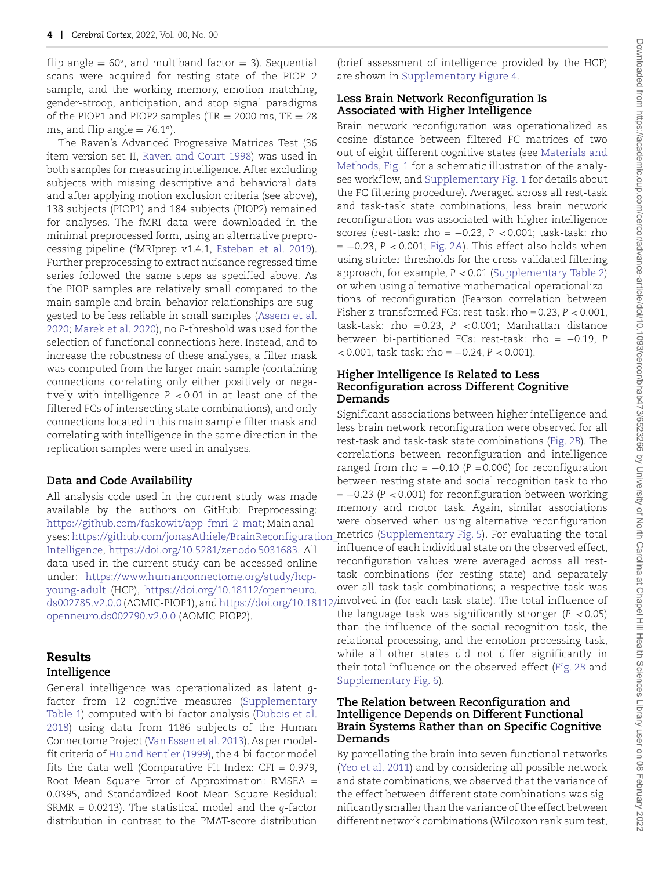flip angle  $= 60^{\circ}$ , and multiband factor  $= 3$ ). Sequential scans were acquired for resting state of the PIOP 2 sample, and the working memory, emotion matching, gender-stroop, anticipation, and stop signal paradigms of the PIOP1 and PIOP2 samples (TR =  $2000$  ms, TE =  $28$ ms, and flip angle  $= 76.1°$ ).

The Raven's Advanced Progressive Matrices Test (36 item version set II, Raven and Court 1998) was used in both samples for measuring intelligence. After excluding subjects with missing descriptive and behavioral data and after applying motion exclusion criteria (see above), 138 subjects (PIOP1) and 184 subjects (PIOP2) remained for analyses. The fMRI data were downloaded in the minimal preprocessed form, using an alternative preprocessing pipeline (fMRIprep v1.4.1, Esteban et al. 2019). Further preprocessing to extract nuisance regressed time series followed the same steps as specified above. As the PIOP samples are relatively small compared to the main sample and brain–behavior relationships are suggested to be less reliable in small samples (Assem et al. 2020; Marek et al. 2020), no *P*-threshold was used for the selection of functional connections here. Instead, and to increase the robustness of these analyses, a filter mask was computed from the larger main sample (containing connections correlating only either positively or negatively with intelligence *P* < 0.01 in at least one of the filtered FCs of intersecting state combinations), and only connections located in this main sample filter mask and correlating with intelligence in the same direction in the replication samples were used in analyses.

#### **Data and Code Availability**

All analysis code used in the current study was made available by the authors on GitHub: Preprocessing: https://github.com/faskowit/app-fmri-2-mat; Main analyses: https://github.com/jonasAthiele/BrainReconfiguration\_ metrics (Supplementary Fig. 5). For evaluating the total Intelligence, https://doi.org/10.5281/zenodo.5031683. All data used in the current study can be accessed online under: https://www.humanconnectome.org/study/hcpyoung-adult (HCP), https://doi.org/10.18112/openneuro. ds002785.v2.0.0 (AOMIC-PIOP1), and https://doi.org/10.18112/ involved in (for each task state). The total inf luence of openneuro.ds002790.v2.0.0 (AOMIC-PIOP2).

#### Results **Intelligence**

General intelligence was operationalized as latent *g*factor from 12 cognitive measures (Supplementary Table 1) computed with bi-factor analysis (Dubois et al. 2018) using data from 1186 subjects of the Human Connectome Project (Van Essen et al. 2013). As per modelfit criteria of Hu and Bentler (1999), the 4-bi-factor model fits the data well (Comparative Fit Index:  $CFI = 0.979$ , Root Mean Square Error of Approximation: RMSEA = 0.0395, and Standardized Root Mean Square Residual: SRMR = 0.0213). The statistical model and the *g*-factor distribution in contrast to the PMAT-score distribution

(brief assessment of intelligence provided by the HCP) are shown in Supplementary Figure 4.

#### **Less Brain Network Reconfiguration Is Associated with Higher Intelligence**

Brain network reconfiguration was operationalized as cosine distance between filtered FC matrices of two out of eight different cognitive states (see Materials and Methods, Fig. 1 for a schematic illustration of the analyses workflow, and Supplementary Fig. 1 for details about the FC filtering procedure). Averaged across all rest-task and task-task state combinations, less brain network reconfiguration was associated with higher intelligence scores (rest-task: rho = −0.23, *P* < 0.001; task-task: rho = −0.23, *P* < 0.001; Fig. 2*A*). This effect also holds when using stricter thresholds for the cross-validated filtering approach, for example, *P* < 0.01 (Supplementary Table 2) or when using alternative mathematical operationalizations of reconfiguration (Pearson correlation between Fisher z-transformed FCs: rest-task: rho = 0.23, *P* < 0.001, task-task: rho =  $0.23$ ,  $P < 0.001$ ; Manhattan distance between bi-partitioned FCs: rest-task: rho = −0.19, *P* < 0.001, task-task: rho = −0.24, *P* < 0.001).

#### **Higher Intelligence Is Related to Less Reconfiguration across Different Cognitive Demands**

Significant associations between higher intelligence and less brain network reconfiguration were observed for all rest-task and task-task state combinations (Fig. 2*B*). The correlations between reconfiguration and intelligence ranged from rho =  $-0.10$  ( $P = 0.006$ ) for reconfiguration between resting state and social recognition task to rho = −0.23 (*P* < 0.001) for reconfiguration between working memory and motor task. Again, similar associations were observed when using alternative reconfiguration inf luence of each individual state on the observed effect, reconfiguration values were averaged across all resttask combinations (for resting state) and separately over all task-task combinations; a respective task was the language task was significantly stronger  $(P < 0.05)$ than the influence of the social recognition task, the relational processing, and the emotion-processing task, while all other states did not differ significantly in their total inf luence on the observed effect (Fig. 2*B* and Supplementary Fig. 6).

#### **The Relation between Reconfiguration and Intelligence Depends on Different Functional Brain Systems Rather than on Specific Cognitive Demands**

By parcellating the brain into seven functional networks (Yeo et al. 2011) and by considering all possible network and state combinations, we observed that the variance of the effect between different state combinations was significantly smaller than the variance of the effect between different network combinations (Wilcoxon rank sum test,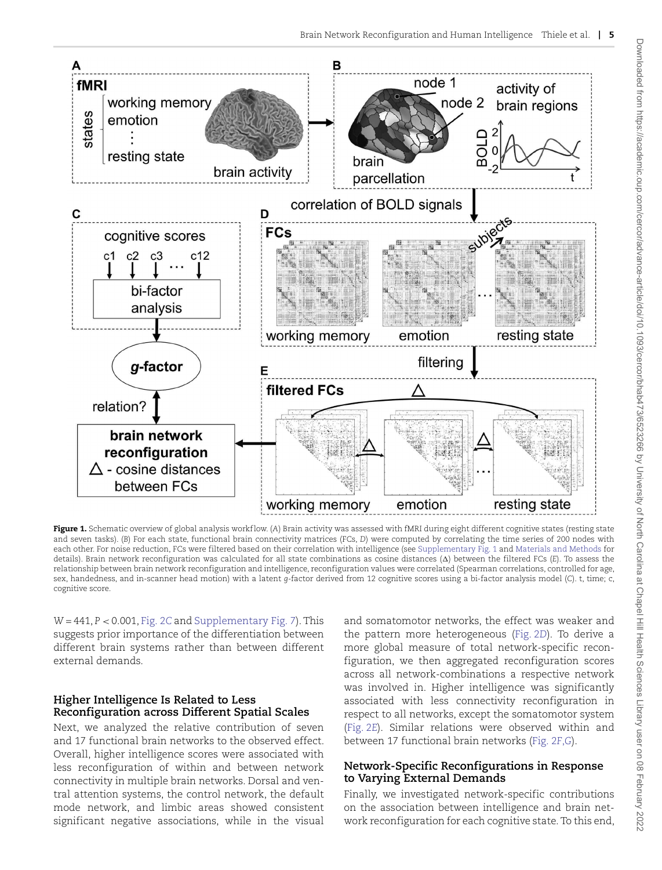

Figure 1. Schematic overview of global analysis workflow. (A) Brain activity was assessed with fMRI during eight different cognitive states (resting state and seven tasks). (*B*) For each state, functional brain connectivity matrices (FCs, *D*) were computed by correlating the time series of 200 nodes with each other. For noise reduction, FCs were filtered based on their correlation with intelligence (see Supplementary Fig. 1 and Materials and Methods for details). Brain network reconfiguration was calculated for all state combinations as cosine distances ( $\Delta$ ) between the filtered FCs (*E*). To assess the relationship between brain network reconfiguration and intelligence, reconfiguration values were correlated (Spearman correlations, controlled for age, sex, handedness, and in-scanner head motion) with a latent *g*-factor derived from 12 cognitive scores using a bi-factor analysis model (*C*). t, time; c, cognitive score.

*W* = 441, *P* < 0.001, Fig. 2*C* and Supplementary Fig. 7). This suggests prior importance of the differentiation between different brain systems rather than between different external demands.

## **Higher Intelligence Is Related to Less Reconfiguration across Different Spatial Scales**

Next, we analyzed the relative contribution of seven and 17 functional brain networks to the observed effect. Overall, higher intelligence scores were associated with less reconfiguration of within and between network connectivity in multiple brain networks. Dorsal and ventral attention systems, the control network, the default mode network, and limbic areas showed consistent significant negative associations, while in the visual

and somatomotor networks, the effect was weaker and the pattern more heterogeneous (Fig. 2*D*). To derive a more global measure of total network-specific reconfiguration, we then aggregated reconfiguration scores across all network-combinations a respective network was involved in. Higher intelligence was significantly associated with less connectivity reconfiguration in respect to all networks, except the somatomotor system (Fig. 2*E*). Similar relations were observed within and between 17 functional brain networks (Fig. 2*F*,*G*).

## **Network-Specific Reconfigurations in Response to Varying External Demands**

Finally, we investigated network-specific contributions on the association between intelligence and brain network reconfiguration for each cognitive state. To this end,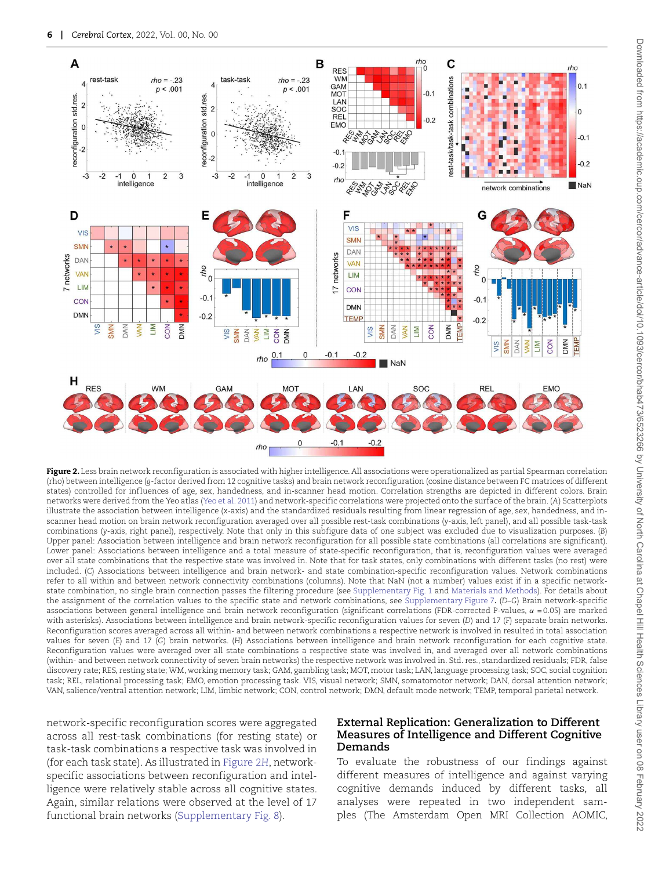

Figure 2. Less brain network reconfiguration is associated with higher intelligence. All associations were operationalized as partial Spearman correlation (rho) between intelligence (*g*-factor derived from 12 cognitive tasks) and brain network reconfiguration (cosine distance between FC matrices of different states) controlled for influences of age, sex, handedness, and in-scanner head motion. Correlation strengths are depicted in different colors. Brain networks were derived from the Yeo atlas (Yeo et al. 2011) and network-specific correlations were projected onto the surface of the brain. (*A*) Scatterplots illustrate the association between intelligence (*x*-axis) and the standardized residuals resulting from linear regression of age, sex, handedness, and inscanner head motion on brain network reconfiguration averaged over all possible rest-task combinations (*y*-axis, left panel), and all possible task-task combinations (*y*-axis, right panel), respectively. Note that only in this subfigure data of one subject was excluded due to visualization purposes. (*B*) Upper panel: Association between intelligence and brain network reconfiguration for all possible state combinations (all correlations are significant). Lower panel: Associations between intelligence and a total measure of state-specific reconfiguration, that is, reconfiguration values were averaged over all state combinations that the respective state was involved in. Note that for task states, only combinations with different tasks (no rest) were included. (*C*) Associations between intelligence and brain network- and state combination-specific reconfiguration values. Network combinations refer to all within and between network connectivity combinations (columns). Note that NaN (not a number) values exist if in a specific networkstate combination, no single brain connection passes the filtering procedure (see Supplementary Fig. 1 and Materials and Methods). For details about the assignment of the correlation values to the specific state and network combinations, see Supplementary Figure 7**.** (*D*–*G*) Brain network-specific associations between general intelligence and brain network reconfiguration (significant correlations (FDR-corrected P-values,  $\alpha$  = 0.05) are marked with asterisks). Associations between intelligence and brain network-specific reconfiguration values for seven (*D*) and 17 (*F*) separate brain networks. Reconfiguration scores averaged across all within- and between network combinations a respective network is involved in resulted in total association values for seven (*E*) and 17 (*G*) brain networks. (*H*) Associations between intelligence and brain network reconfiguration for each cognitive state. Reconfiguration values were averaged over all state combinations a respective state was involved in, and averaged over all network combinations (within- and between network connectivity of seven brain networks) the respective network was involved in. Std. res., standardized residuals; FDR, false discovery rate; RES, resting state; WM, working memory task; GAM, gambling task; MOT, motor task; LAN, language processing task; SOC, social cognition task; REL, relational processing task; EMO, emotion processing task. VIS, visual network; SMN, somatomotor network; DAN, dorsal attention network; VAN, salience/ventral attention network; LIM, limbic network; CON, control network; DMN, default mode network; TEMP, temporal parietal network.

network-specific reconfiguration scores were aggregated across all rest-task combinations (for resting state) or task-task combinations a respective task was involved in (for each task state). As illustrated in Figure 2*H*, networkspecific associations between reconfiguration and intelligence were relatively stable across all cognitive states. Again, similar relations were observed at the level of 17 functional brain networks (Supplementary Fig. 8).

## **External Replication: Generalization to Different Measures of Intelligence and Different Cognitive Demands**

To evaluate the robustness of our findings against different measures of intelligence and against varying cognitive demands induced by different tasks, all analyses were repeated in two independent samples (The Amsterdam Open MRI Collection AOMIC,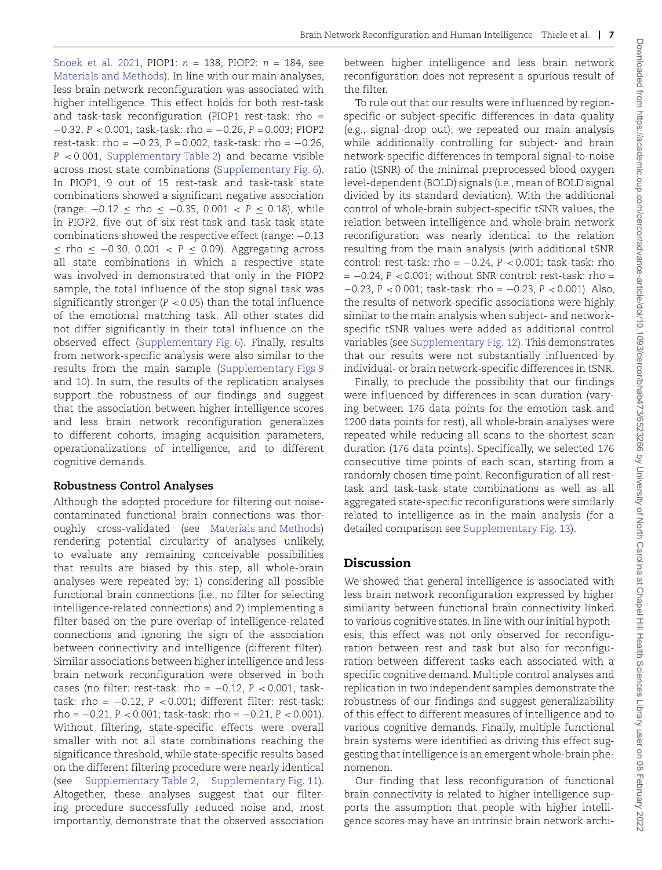Snoek et al. 2021, PIOP1: *n* = 138, PIOP2: *n* = 184, see Materials and Methods). In line with our main analyses, less brain network reconfiguration was associated with higher intelligence. This effect holds for both rest-task and task-task reconfiguration (PIOP1 rest-task: rho = −0.32, *P* < 0.001, task-task: rho = −0.26, *P* = 0.003; PIOP2 rest-task: rho = −0.23, *P* = 0.002, task-task: rho = −0.26, *P* < 0.001, Supplementary Table 2) and became visible across most state combinations (Supplementary Fig. 6). In PIOP1, 9 out of 15 rest-task and task-task state combinations showed a significant negative association (range: −0.12 ≤ rho ≤ −0.35, 0.001 < *P* ≤ 0.18), while in PIOP2, five out of six rest-task and task-task state combinations showed the respective effect (range: −0.13 ≤ rho ≤ −0.30, 0.001 < *P* ≤ 0.09). Aggregating across all state combinations in which a respective state was involved in demonstrated that only in the PIOP2 sample, the total influence of the stop signal task was significantly stronger  $(P < 0.05)$  than the total influence of the emotional matching task. All other states did not differ significantly in their total influence on the observed effect (Supplementary Fig. 6). Finally, results from network-specific analysis were also similar to the results from the main sample (Supplementary Figs 9 and 10). In sum, the results of the replication analyses support the robustness of our findings and suggest that the association between higher intelligence scores and less brain network reconfiguration generalizes to different cohorts, imaging acquisition parameters, operationalizations of intelligence, and to different cognitive demands.

#### **Robustness Control Analyses**

Although the adopted procedure for filtering out noisecontaminated functional brain connections was thoroughly cross-validated (see Materials and Methods) rendering potential circularity of analyses unlikely, to evaluate any remaining conceivable possibilities that results are biased by this step, all whole-brain analyses were repeated by: 1) considering all possible functional brain connections (i.e., no filter for selecting intelligence-related connections) and 2) implementing a filter based on the pure overlap of intelligence-related connections and ignoring the sign of the association between connectivity and intelligence (different filter). Similar associations between higher intelligence and less brain network reconfiguration were observed in both cases (no filter: rest-task: rho = −0.12, *P* < 0.001; tasktask: rho = −0.12, *P* < 0.001; different filter: rest-task: rho = −0.21, *P* < 0.001; task-task: rho = −0.21, *P* < 0.001). Without filtering, state-specific effects were overall smaller with not all state combinations reaching the significance threshold, while state-specific results based on the different filtering procedure were nearly identical (see Supplementary Table 2, Supplementary Fig. 11). Altogether, these analyses suggest that our filtering procedure successfully reduced noise and, most importantly, demonstrate that the observed association between higher intelligence and less brain network reconfiguration does not represent a spurious result of the filter.

To rule out that our results were influenced by regionspecific or subject-specific differences in data quality (e.g., signal drop out), we repeated our main analysis while additionally controlling for subject- and brain network-specific differences in temporal signal-to-noise ratio (tSNR) of the minimal preprocessed blood oxygen level-dependent (BOLD) signals (i.e., mean of BOLD signal divided by its standard deviation). With the additional control of whole-brain subject-specific tSNR values, the relation between intelligence and whole-brain network reconfiguration was nearly identical to the relation resulting from the main analysis (with additional tSNR control: rest-task: rho = −0.24, *P* < 0.001; task-task: rho = −0.24, *P* < 0.001; without SNR control: rest-task: rho = −0.23, *P* < 0.001; task-task: rho = −0.23, *P* < 0.001). Also, the results of network-specific associations were highly similar to the main analysis when subject- and networkspecific tSNR values were added as additional control variables (see Supplementary Fig. 12). This demonstrates that our results were not substantially influenced by individual- or brain network-specific differences in tSNR.

Finally, to preclude the possibility that our findings were influenced by differences in scan duration (varying between 176 data points for the emotion task and 1200 data points for rest), all whole-brain analyses were repeated while reducing all scans to the shortest scan duration (176 data points). Specifically, we selected 176 consecutive time points of each scan, starting from a randomly chosen time point. Reconfiguration of all resttask and task-task state combinations as well as all aggregated state-specific reconfigurations were similarly related to intelligence as in the main analysis (for a detailed comparison see Supplementary Fig. 13).

## Discussion

We showed that general intelligence is associated with less brain network reconfiguration expressed by higher similarity between functional brain connectivity linked to various cognitive states. In line with our initial hypothesis, this effect was not only observed for reconfiguration between rest and task but also for reconfiguration between different tasks each associated with a specific cognitive demand. Multiple control analyses and replication in two independent samples demonstrate the robustness of our findings and suggest generalizability of this effect to different measures of intelligence and to various cognitive demands. Finally, multiple functional brain systems were identified as driving this effect suggesting that intelligence is an emergent whole-brain phenomenon.

Our finding that less reconfiguration of functional brain connectivity is related to higher intelligence supports the assumption that people with higher intelligence scores may have an intrinsic brain network archi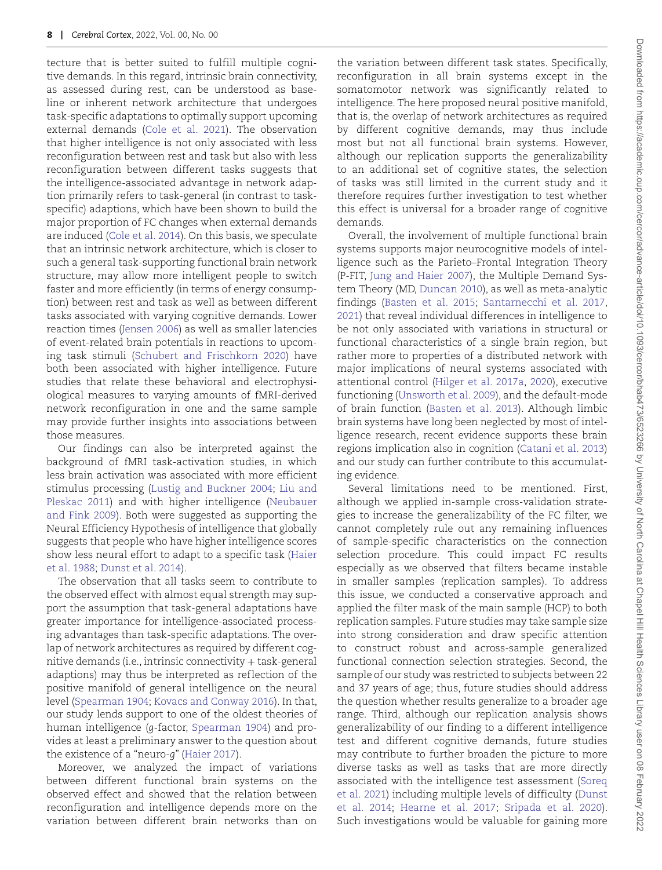tecture that is better suited to fulfill multiple cognitive demands. In this regard, intrinsic brain connectivity, as assessed during rest, can be understood as baseline or inherent network architecture that undergoes task-specific adaptations to optimally support upcoming external demands (Cole et al. 2021). The observation that higher intelligence is not only associated with less reconfiguration between rest and task but also with less reconfiguration between different tasks suggests that the intelligence-associated advantage in network adaption primarily refers to task-general (in contrast to taskspecific) adaptions, which have been shown to build the major proportion of FC changes when external demands are induced (Cole et al. 2014). On this basis, we speculate that an intrinsic network architecture, which is closer to such a general task-supporting functional brain network structure, may allow more intelligent people to switch faster and more efficiently (in terms of energy consumption) between rest and task as well as between different tasks associated with varying cognitive demands. Lower reaction times (Jensen 2006) as well as smaller latencies of event-related brain potentials in reactions to upcoming task stimuli (Schubert and Frischkorn 2020) have both been associated with higher intelligence. Future studies that relate these behavioral and electrophysiological measures to varying amounts of fMRI-derived network reconfiguration in one and the same sample may provide further insights into associations between those measures.

Our findings can also be interpreted against the background of fMRI task-activation studies, in which less brain activation was associated with more efficient stimulus processing (Lustig and Buckner 2004; Liu and Pleskac 2011) and with higher intelligence (Neubauer and Fink 2009). Both were suggested as supporting the Neural Efficiency Hypothesis of intelligence that globally suggests that people who have higher intelligence scores show less neural effort to adapt to a specific task (Haier et al. 1988; Dunst et al. 2014).

The observation that all tasks seem to contribute to the observed effect with almost equal strength may support the assumption that task-general adaptations have greater importance for intelligence-associated processing advantages than task-specific adaptations. The overlap of network architectures as required by different cognitive demands (i.e., intrinsic connectivity + task-general adaptions) may thus be interpreted as reflection of the positive manifold of general intelligence on the neural level (Spearman 1904; Kovacs and Conway 2016). In that, our study lends support to one of the oldest theories of human intelligence (*g*-factor, Spearman 1904) and provides at least a preliminary answer to the question about the existence of a "neuro-*g*" (Haier 2017).

Moreover, we analyzed the impact of variations between different functional brain systems on the observed effect and showed that the relation between reconfiguration and intelligence depends more on the variation between different brain networks than on

the variation between different task states. Specifically, reconfiguration in all brain systems except in the somatomotor network was significantly related to intelligence. The here proposed neural positive manifold, that is, the overlap of network architectures as required by different cognitive demands, may thus include most but not all functional brain systems. However, although our replication supports the generalizability to an additional set of cognitive states, the selection of tasks was still limited in the current study and it therefore requires further investigation to test whether this effect is universal for a broader range of cognitive demands.

Overall, the involvement of multiple functional brain systems supports major neurocognitive models of intelligence such as the Parieto–Frontal Integration Theory (P-FIT, Jung and Haier 2007), the Multiple Demand System Theory (MD, Duncan 2010), as well as meta-analytic findings (Basten et al. 2015; Santarnecchi et al. 2017, 2021) that reveal individual differences in intelligence to be not only associated with variations in structural or functional characteristics of a single brain region, but rather more to properties of a distributed network with major implications of neural systems associated with attentional control (Hilger et al. 2017a, 2020), executive functioning (Unsworth et al. 2009), and the default-mode of brain function (Basten et al. 2013). Although limbic brain systems have long been neglected by most of intelligence research, recent evidence supports these brain regions implication also in cognition (Catani et al. 2013) and our study can further contribute to this accumulating evidence.

Several limitations need to be mentioned. First, although we applied in-sample cross-validation strategies to increase the generalizability of the FC filter, we cannot completely rule out any remaining influences of sample-specific characteristics on the connection selection procedure. This could impact FC results especially as we observed that filters became instable in smaller samples (replication samples). To address this issue, we conducted a conservative approach and applied the filter mask of the main sample (HCP) to both replication samples. Future studies may take sample size into strong consideration and draw specific attention to construct robust and across-sample generalized functional connection selection strategies. Second, the sample of our study was restricted to subjects between 22 and 37 years of age; thus, future studies should address the question whether results generalize to a broader age range. Third, although our replication analysis shows generalizability of our finding to a different intelligence test and different cognitive demands, future studies may contribute to further broaden the picture to more diverse tasks as well as tasks that are more directly associated with the intelligence test assessment (Soreq et al. 2021) including multiple levels of difficulty (Dunst et al. 2014; Hearne et al. 2017; Sripada et al. 2020). Such investigations would be valuable for gaining more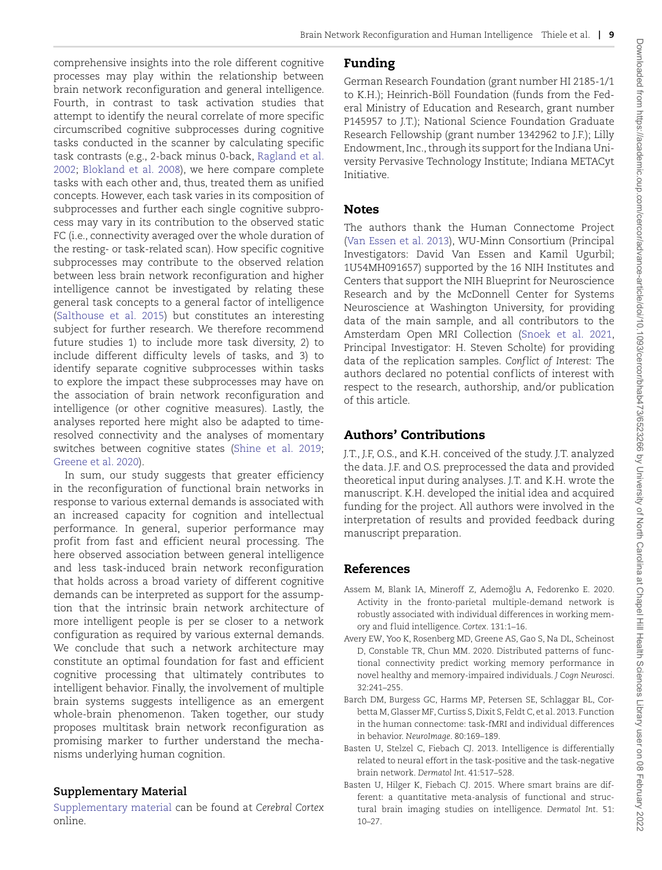comprehensive insights into the role different cognitive processes may play within the relationship between brain network reconfiguration and general intelligence. Fourth, in contrast to task activation studies that attempt to identify the neural correlate of more specific circumscribed cognitive subprocesses during cognitive tasks conducted in the scanner by calculating specific task contrasts (e.g., 2-back minus 0-back, Ragland et al. 2002; Blokland et al. 2008), we here compare complete tasks with each other and, thus, treated them as unified concepts. However, each task varies in its composition of subprocesses and further each single cognitive subprocess may vary in its contribution to the observed static FC (i.e., connectivity averaged over the whole duration of the resting- or task-related scan). How specific cognitive subprocesses may contribute to the observed relation between less brain network reconfiguration and higher intelligence cannot be investigated by relating these general task concepts to a general factor of intelligence (Salthouse et al. 2015) but constitutes an interesting subject for further research. We therefore recommend future studies 1) to include more task diversity, 2) to include different difficulty levels of tasks, and 3) to identify separate cognitive subprocesses within tasks to explore the impact these subprocesses may have on the association of brain network reconfiguration and intelligence (or other cognitive measures). Lastly, the analyses reported here might also be adapted to timeresolved connectivity and the analyses of momentary switches between cognitive states (Shine et al. 2019; Greene et al. 2020).

In sum, our study suggests that greater efficiency in the reconfiguration of functional brain networks in response to various external demands is associated with an increased capacity for cognition and intellectual performance. In general, superior performance may profit from fast and efficient neural processing. The here observed association between general intelligence and less task-induced brain network reconfiguration that holds across a broad variety of different cognitive demands can be interpreted as support for the assumption that the intrinsic brain network architecture of more intelligent people is per se closer to a network configuration as required by various external demands. We conclude that such a network architecture may constitute an optimal foundation for fast and efficient cognitive processing that ultimately contributes to intelligent behavior. Finally, the involvement of multiple brain systems suggests intelligence as an emergent whole-brain phenomenon. Taken together, our study proposes multitask brain network reconfiguration as promising marker to further understand the mechanisms underlying human cognition.

## **Supplementary Material**

Supplementary material can be found at *Cerebral Cortex* online.

# Funding

German Research Foundation (grant number HI 2185-1/1 to K.H.); Heinrich-Böll Foundation (funds from the Federal Ministry of Education and Research, grant number P145957 to J.T.); National Science Foundation Graduate Research Fellowship (grant number 1342962 to J.F.); Lilly Endowment, Inc., through its support for the Indiana University Pervasive Technology Institute; Indiana METACyt Initiative.

# Notes

The authors thank the Human Connectome Project (Van Essen et al. 2013), WU-Minn Consortium (Principal Investigators: David Van Essen and Kamil Ugurbil; 1U54MH091657) supported by the 16 NIH Institutes and Centers that support the NIH Blueprint for Neuroscience Research and by the McDonnell Center for Systems Neuroscience at Washington University, for providing data of the main sample, and all contributors to the Amsterdam Open MRI Collection (Snoek et al. 2021, Principal Investigator: H. Steven Scholte) for providing data of the replication samples. *Conflict of Interest:* The authors declared no potential conflicts of interest with respect to the research, authorship, and/or publication of this article.

# Authors' Contributions

J.T., J.F, O.S., and K.H. conceived of the study. J.T. analyzed the data. J.F. and O.S. preprocessed the data and provided theoretical input during analyses. J.T. and K.H. wrote the manuscript. K.H. developed the initial idea and acquired funding for the project. All authors were involved in the interpretation of results and provided feedback during manuscript preparation.

# References

- Assem M, Blank IA, Mineroff Z, Ademoğlu A, Fedorenko E. 2020. Activity in the fronto-parietal multiple-demand network is robustly associated with individual differences in working memory and f luid intelligence. *Cortex*. 131:1–16.
- Avery EW, Yoo K, Rosenberg MD, Greene AS, Gao S, Na DL, Scheinost D, Constable TR, Chun MM. 2020. Distributed patterns of functional connectivity predict working memory performance in novel healthy and memory-impaired individuals. *J Cogn Neurosci*. 32:241–255.
- Barch DM, Burgess GC, Harms MP, Petersen SE, Schlaggar BL, Corbetta M, Glasser MF, Curtiss S, Dixit S, Feldt C, et al. 2013. Function in the human connectome: task-fMRI and individual differences in behavior. *NeuroImage*. 80:169–189.
- Basten U, Stelzel C, Fiebach CJ. 2013. Intelligence is differentially related to neural effort in the task-positive and the task-negative brain network. *Dermatol Int*. 41:517–528.
- Basten U, Hilger K, Fiebach CJ. 2015. Where smart brains are different: a quantitative meta-analysis of functional and structural brain imaging studies on intelligence. *Dermatol Int*. 51: 10–27.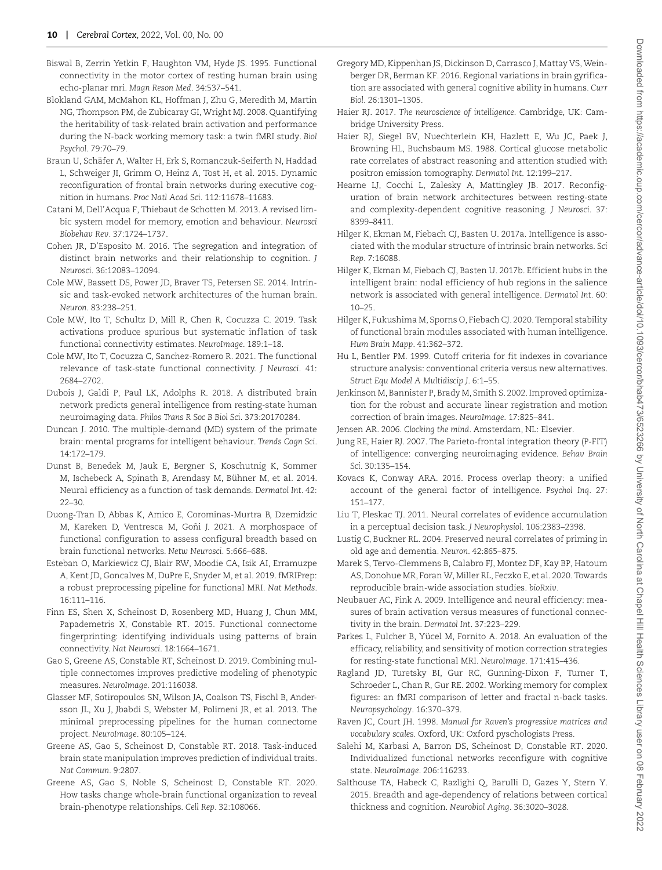- Biswal B, Zerrin Yetkin F, Haughton VM, Hyde JS. 1995. Functional connectivity in the motor cortex of resting human brain using echo-planar mri. *Magn Reson Med*. 34:537–541.
- Blokland GAM, McMahon KL, Hoffman J, Zhu G, Meredith M, Martin NG, Thompson PM, de Zubicaray GI, Wright MJ. 2008. Quantifying the heritability of task-related brain activation and performance during the N-back working memory task: a twin fMRI study. *Biol Psychol*. 79:70–79.
- Braun U, Schäfer A, Walter H, Erk S, Romanczuk-Seiferth N, Haddad L, Schweiger JI, Grimm O, Heinz A, Tost H, et al. 2015. Dynamic reconfiguration of frontal brain networks during executive cognition in humans. *Proc Natl Acad Sci*. 112:11678–11683.
- Catani M, Dell'Acqua F, Thiebaut de Schotten M. 2013. A revised limbic system model for memory, emotion and behaviour. *Neurosci Biobehav Rev*. 37:1724–1737.
- Cohen JR, D'Esposito M. 2016. The segregation and integration of distinct brain networks and their relationship to cognition. *J Neurosci*. 36:12083–12094.
- Cole MW, Bassett DS, Power JD, Braver TS, Petersen SE. 2014. Intrinsic and task-evoked network architectures of the human brain. *Neuron*. 83:238–251.
- Cole MW, Ito T, Schultz D, Mill R, Chen R, Cocuzza C. 2019. Task activations produce spurious but systematic inflation of task functional connectivity estimates. *NeuroImage*. 189:1–18.
- Cole MW, Ito T, Cocuzza C, Sanchez-Romero R. 2021. The functional relevance of task-state functional connectivity. *J Neurosci*. 41: 2684–2702.
- Dubois J, Galdi P, Paul LK, Adolphs R. 2018. A distributed brain network predicts general intelligence from resting-state human neuroimaging data. *Philos Trans R Soc B Biol Sci*. 373:20170284.
- Duncan J. 2010. The multiple-demand (MD) system of the primate brain: mental programs for intelligent behaviour. *Trends Cogn Sci*. 14:172–179.
- Dunst B, Benedek M, Jauk E, Bergner S, Koschutnig K, Sommer M, Ischebeck A, Spinath B, Arendasy M, Bühner M, et al. 2014. Neural efficiency as a function of task demands. *Dermatol Int*. 42: 22–30.
- Duong-Tran D, Abbas K, Amico E, Corominas-Murtra B, Dzemidzic M, Kareken D, Ventresca M, Goñi J. 2021. A morphospace of functional configuration to assess configural breadth based on brain functional networks. *Netw Neurosci*. 5:666–688.
- Esteban O, Markiewicz CJ, Blair RW, Moodie CA, Isik AI, Erramuzpe A, Kent JD, Goncalves M, DuPre E, Snyder M, et al. 2019. fMRIPrep: a robust preprocessing pipeline for functional MRI. *Nat Methods*. 16:111–116.
- Finn ES, Shen X, Scheinost D, Rosenberg MD, Huang J, Chun MM, Papademetris X, Constable RT. 2015. Functional connectome fingerprinting: identifying individuals using patterns of brain connectivity. *Nat Neurosci*. 18:1664–1671.
- Gao S, Greene AS, Constable RT, Scheinost D. 2019. Combining multiple connectomes improves predictive modeling of phenotypic measures. *NeuroImage*. 201:116038.
- Glasser MF, Sotiropoulos SN, Wilson JA, Coalson TS, Fischl B, Andersson JL, Xu J, Jbabdi S, Webster M, Polimeni JR, et al. 2013. The minimal preprocessing pipelines for the human connectome project. *NeuroImage*. 80:105–124.
- Greene AS, Gao S, Scheinost D, Constable RT. 2018. Task-induced brain state manipulation improves prediction of individual traits. *Nat Commun*. 9:2807.
- Greene AS, Gao S, Noble S, Scheinost D, Constable RT. 2020. How tasks change whole-brain functional organization to reveal brain-phenotype relationships. *Cell Rep*. 32:108066.
- Gregory MD, Kippenhan JS, Dickinson D, Carrasco J, Mattay VS,Weinberger DR, Berman KF. 2016. Regional variations in brain gyrification are associated with general cognitive ability in humans. *Curr Biol*. 26:1301–1305.
- Haier RJ. 2017. *The neuroscience of intelligence*. Cambridge, UK: Cambridge University Press.
- Haier RJ, Siegel BV, Nuechterlein KH, Hazlett E, Wu JC, Paek J, Browning HL, Buchsbaum MS. 1988. Cortical glucose metabolic rate correlates of abstract reasoning and attention studied with positron emission tomography. *Dermatol Int*. 12:199–217.
- Hearne LJ, Cocchi L, Zalesky A, Mattingley JB. 2017. Reconfiguration of brain network architectures between resting-state and complexity-dependent cognitive reasoning. *J Neurosci*. 37: 8399–8411.
- Hilger K, Ekman M, Fiebach CJ, Basten U. 2017a. Intelligence is associated with the modular structure of intrinsic brain networks. *Sci Rep*. 7:16088.
- Hilger K, Ekman M, Fiebach CJ, Basten U. 2017b. Efficient hubs in the intelligent brain: nodal efficiency of hub regions in the salience network is associated with general intelligence. *Dermatol Int*. 60: 10–25.
- Hilger K, Fukushima M, Sporns O, Fiebach CJ. 2020. Temporal stability of functional brain modules associated with human intelligence. *Hum Brain Mapp*. 41:362–372.
- Hu L, Bentler PM. 1999. Cutoff criteria for fit indexes in covariance structure analysis: conventional criteria versus new alternatives. *Struct Equ Model A Multidiscip J*. 6:1–55.
- Jenkinson M, Bannister P, Brady M, Smith S. 2002. Improved optimization for the robust and accurate linear registration and motion correction of brain images. *NeuroImage*. 17:825–841.
- Jensen AR. 2006. *Clocking the mind*. Amsterdam, NL: Elsevier.
- Jung RE, Haier RJ. 2007. The Parieto-frontal integration theory (P-FIT) of intelligence: converging neuroimaging evidence. *Behav Brain Sci*. 30:135–154.
- Kovacs K, Conway ARA. 2016. Process overlap theory: a unified account of the general factor of intelligence. *Psychol Inq*. 27: 151–177.
- Liu T, Pleskac TJ. 2011. Neural correlates of evidence accumulation in a perceptual decision task. *J Neurophysiol*. 106:2383–2398.
- Lustig C, Buckner RL. 2004. Preserved neural correlates of priming in old age and dementia. *Neuron*. 42:865–875.
- Marek S, Tervo-Clemmens B, Calabro FJ, Montez DF, Kay BP, Hatoum AS, Donohue MR, Foran W, Miller RL, Feczko E, et al. 2020. Towards reproducible brain-wide association studies. *bioRxiv*.
- Neubauer AC, Fink A. 2009. Intelligence and neural efficiency: measures of brain activation versus measures of functional connectivity in the brain. *Dermatol Int*. 37:223–229.
- Parkes L, Fulcher B, Yücel M, Fornito A. 2018. An evaluation of the efficacy, reliability, and sensitivity of motion correction strategies for resting-state functional MRI. *NeuroImage*. 171:415–436.
- Ragland JD, Turetsky BI, Gur RC, Gunning-Dixon F, Turner T, Schroeder L, Chan R, Gur RE. 2002. Working memory for complex figures: an fMRI comparison of letter and fractal n-back tasks. *Neuropsychology*. 16:370–379.
- Raven JC, Court JH. 1998. *Manual for Raven's progressive matrices and vocabulary scales*. Oxford, UK: Oxford pyschologists Press.
- Salehi M, Karbasi A, Barron DS, Scheinost D, Constable RT. 2020. Individualized functional networks reconfigure with cognitive state. *NeuroImage*. 206:116233.
- Salthouse TA, Habeck C, Razlighi Q, Barulli D, Gazes Y, Stern Y. 2015. Breadth and age-dependency of relations between cortical thickness and cognition. *Neurobiol Aging*. 36:3020–3028.